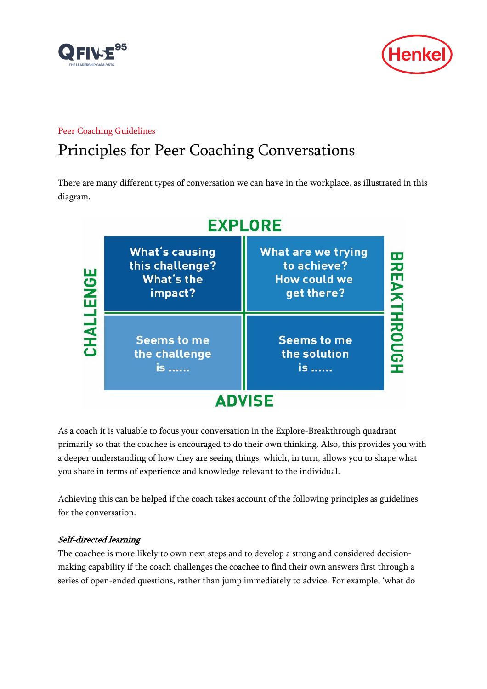



## Peer Coaching Guidelines

# Principles for Peer Coaching Conversations

There are many different types of conversation we can have in the workplace, as illustrated in this diagram.



As a coach it is valuable to focus your conversation in the Explore-Breakthrough quadrant primarily so that the coachee is encouraged to do their own thinking. Also, this provides you with a deeper understanding of how they are seeing things, which, in turn, allows you to shape what you share in terms of experience and knowledge relevant to the individual.

Achieving this can be helped if the coach takes account of the following principles as guidelines for the conversation.

## Self-directed learning

The coachee is more likely to own next steps and to develop a strong and considered decisionmaking capability if the coach challenges the coachee to find their own answers first through a series of open-ended questions, rather than jump immediately to advice. For example, 'what do